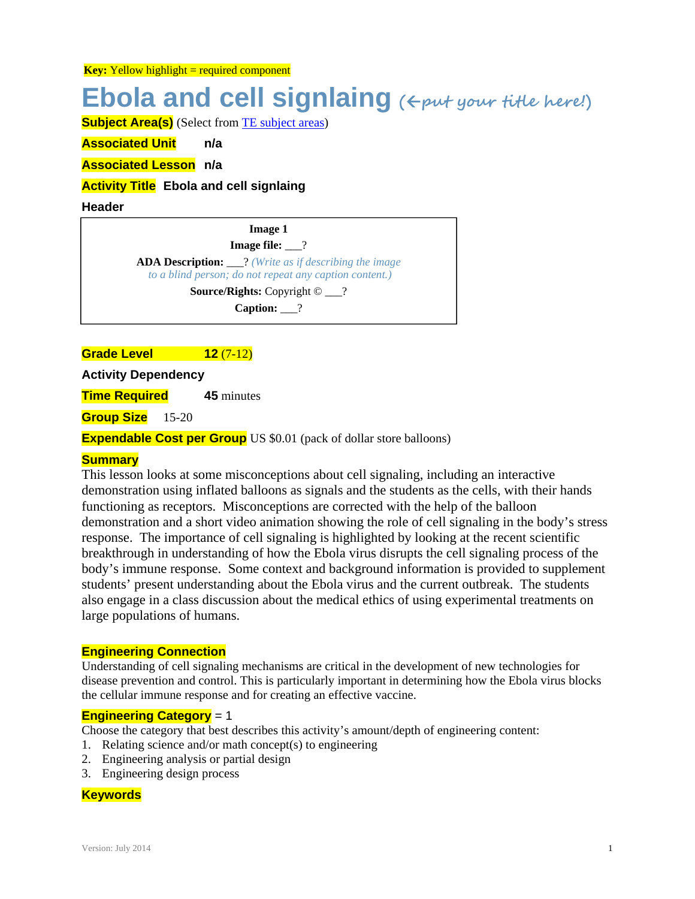**Key:** Yellow highlight = required component

# **Ebola and cell signlaing (put your title here!)**

**Subject Area(s)** (Select from TE subject areas)

**Associated Unit n/a** 

**Associated Lesson n/a** 

#### **Activity Title Ebola and cell signlaing**

#### **Header**

**Image 1 Image file:** 2 **ADA Description:** \_\_\_? *(Write as if describing the image to a blind person; do not repeat any caption content.)* **Source/Rights:** Copyright © \_\_\_? **Caption:** \_\_\_?

#### **Grade Level 12** (7-12)

**Activity Dependency** 

**Time Required 45** minutes

**Group Size** 15-20

**Expendable Cost per Group** US \$0.01 (pack of dollar store balloons)

#### **Summary**

This lesson looks at some misconceptions about cell signaling, including an interactive demonstration using inflated balloons as signals and the students as the cells, with their hands functioning as receptors. Misconceptions are corrected with the help of the balloon demonstration and a short video animation showing the role of cell signaling in the body's stress response. The importance of cell signaling is highlighted by looking at the recent scientific breakthrough in understanding of how the Ebola virus disrupts the cell signaling process of the body's immune response. Some context and background information is provided to supplement students' present understanding about the Ebola virus and the current outbreak. The students also engage in a class discussion about the medical ethics of using experimental treatments on large populations of humans.

#### **Engineering Connection**

Understanding of cell signaling mechanisms are critical in the development of new technologies for disease prevention and control. This is particularly important in determining how the Ebola virus blocks the cellular immune response and for creating an effective vaccine.

#### **Engineering Category** = 1

Choose the category that best describes this activity's amount/depth of engineering content:

- 1. Relating science and/or math concept(s) to engineering
- 2. Engineering analysis or partial design
- 3. Engineering design process

#### **Keywords**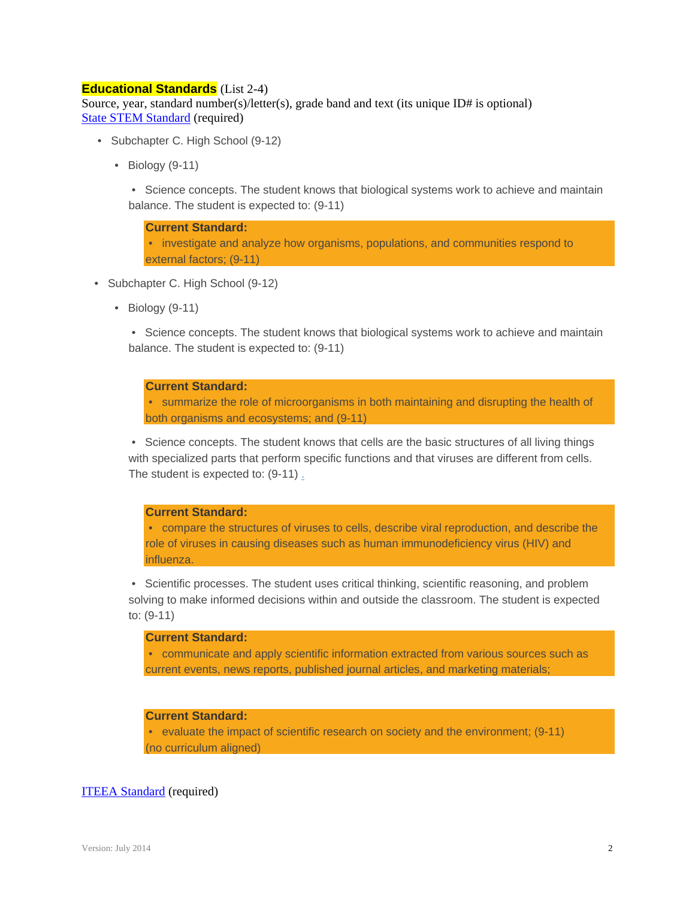#### **Educational Standards** (List 2-4)

Source, year, standard number(s)/letter(s), grade band and text (its unique ID# is optional) State STEM Standard (required)

- Subchapter C. High School (9-12)
	- Biology (9-11)
		- Science concepts. The student knows that biological systems work to achieve and maintain balance. The student is expected to: (9-11)

**Current Standard:** • investigate and analyze how organisms, populations, and communities respond to external factors; (9-11)

- Subchapter C. High School (9-12)
	- Biology (9-11)

 • Science concepts. The student knows that biological systems work to achieve and maintain balance. The student is expected to: (9-11)

#### **Current Standard:**

 • summarize the role of microorganisms in both maintaining and disrupting the health of both organisms and ecosystems; and (9-11)

 • Science concepts. The student knows that cells are the basic structures of all living things with specialized parts that perform specific functions and that viruses are different from cells. The student is expected to: (9-11) .

#### **Current Standard:**

 • compare the structures of viruses to cells, describe viral reproduction, and describe the role of viruses in causing diseases such as human immunodeficiency virus (HIV) and influenza.

 • Scientific processes. The student uses critical thinking, scientific reasoning, and problem solving to make informed decisions within and outside the classroom. The student is expected to: (9-11)

#### **Current Standard:**

 • communicate and apply scientific information extracted from various sources such as current events, news reports, published journal articles, and marketing materials;

#### **Current Standard:**

 • evaluate the impact of scientific research on society and the environment; (9-11) (no curriculum aligned)

#### ITEEA Standard (required)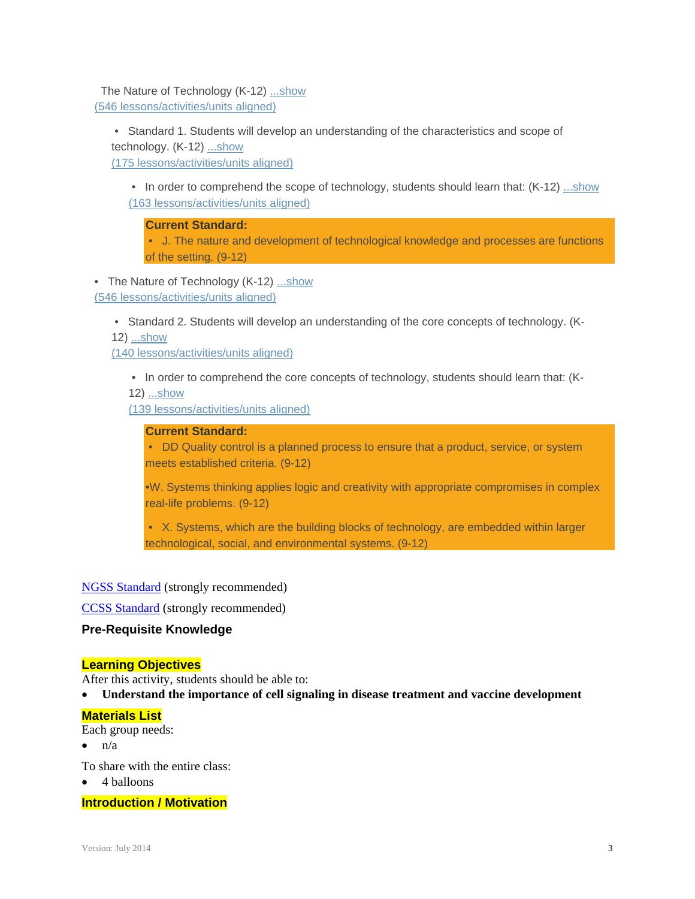The Nature of Technology (K-12) ...show (546 lessons/activities/units aligned)

 • Standard 1. Students will develop an understanding of the characteristics and scope of technology. (K-12) ...show (175 lessons/activities/units aligned)

• In order to comprehend the scope of technology, students should learn that: (K-12) ...show (163 lessons/activities/units aligned)

**Current Standard:**

 • J. The nature and development of technological knowledge and processes are functions of the setting. (9-12)

• The Nature of Technology (K-12) ...show (546 lessons/activities/units aligned)

• Standard 2. Students will develop an understanding of the core concepts of technology. (K-

12) ...show

(140 lessons/activities/units aligned)

 • In order to comprehend the core concepts of technology, students should learn that: (K-12) ...show

(139 lessons/activities/units aligned)

#### **Current Standard:**

 • DD Quality control is a planned process to ensure that a product, service, or system meets established criteria. (9-12)

•W. Systems thinking applies logic and creativity with appropriate compromises in complex real-life problems. (9-12)

 • X. Systems, which are the building blocks of technology, are embedded within larger technological, social, and environmental systems. (9-12)

#### NGSS Standard (strongly recommended)

CCSS Standard (strongly recommended)

#### **Pre-Requisite Knowledge**

#### **Learning Objectives**

After this activity, students should be able to:

**Understand the importance of cell signaling in disease treatment and vaccine development** 

#### **Materials List**

Each group needs:

- $\bullet$  n/a
- To share with the entire class:
- 4 balloons

#### **Introduction / Motivation**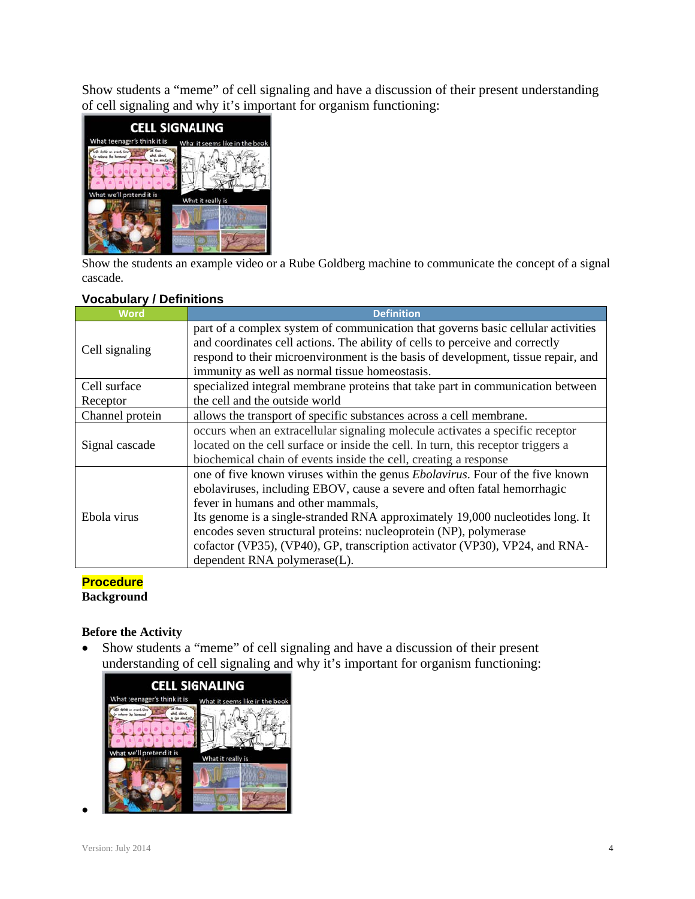Show students a "meme" of cell signaling and have a discussion of their present understanding of cell signaling and why it's important for organism functioning:



Show the students an example video or a Rube Goldberg machine to communicate the concept of a signal cascade.

#### **Vocabul ary / Definit tions**

| <b>Word</b>     | <b>Definition</b>                                                                                                                                                |
|-----------------|------------------------------------------------------------------------------------------------------------------------------------------------------------------|
| Cell signaling  | part of a complex system of communication that governs basic cellular activities<br>and coordinates cell actions. The ability of cells to perceive and correctly |
|                 | respond to their microenvironment is the basis of development, tissue repair, and                                                                                |
|                 | immunity as well as normal tissue homeostasis.                                                                                                                   |
| Cell surface    | specialized integral membrane proteins that take part in communication between                                                                                   |
| Receptor        | the cell and the outside world                                                                                                                                   |
| Channel protein | allows the transport of specific substances across a cell membrane.                                                                                              |
| Signal cascade  | occurs when an extracellular signaling molecule activates a specific receptor                                                                                    |
|                 | located on the cell surface or inside the cell. In turn, this receptor triggers a                                                                                |
|                 | biochemical chain of events inside the cell, creating a response                                                                                                 |
| Ebola virus     | one of five known viruses within the genus <i>Ebolavirus</i> . Four of the five known                                                                            |
|                 | ebolaviruses, including EBOV, cause a severe and often fatal hemorrhagic                                                                                         |
|                 | fever in humans and other mammals,                                                                                                                               |
|                 | Its genome is a single-stranded RNA approximately 19,000 nucleotides long. It                                                                                    |
|                 | encodes seven structural proteins: nucleoprotein (NP), polymerase                                                                                                |
|                 | cofactor (VP35), (VP40), GP, transcription activator (VP30), VP24, and RNA-                                                                                      |
|                 | dependent RNA polymerase(L).                                                                                                                                     |

#### **Procedure Background**

### **Before th he Activity**

• Show students a "meme" of cell signaling and have a discussion of their present understanding of cell signaling and why it's important for organism functioning:



 $\bullet$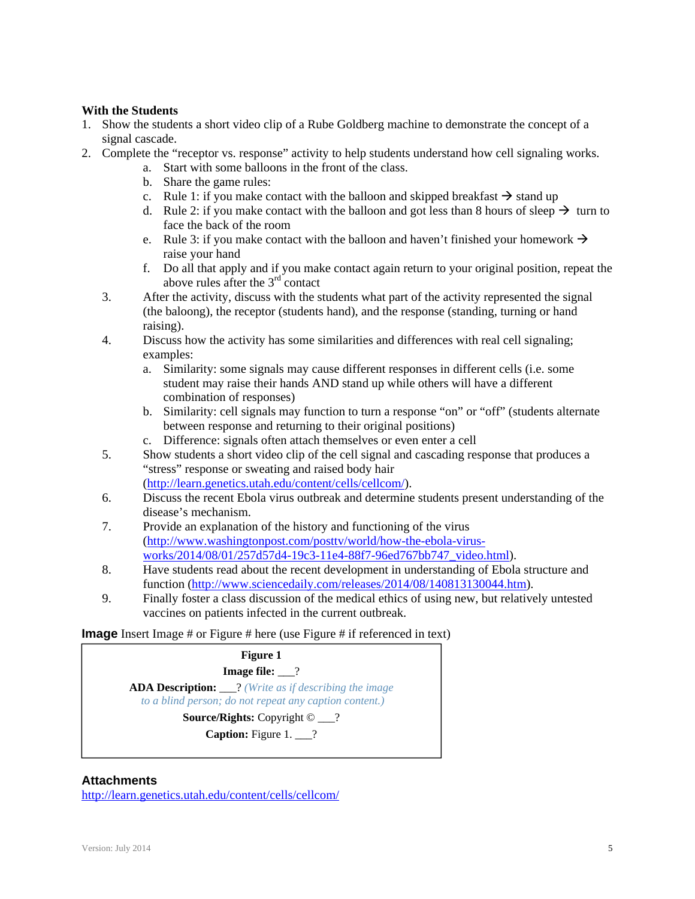#### **With the Students**

- 1. Show the students a short video clip of a Rube Goldberg machine to demonstrate the concept of a signal cascade.
- 2. Complete the "receptor vs. response" activity to help students understand how cell signaling works.
	- a. Start with some balloons in the front of the class.
	- b. Share the game rules:
	- c. Rule 1: if you make contact with the balloon and skipped breakfast  $\rightarrow$  stand up
	- d. Rule 2: if you make contact with the balloon and got less than 8 hours of sleep  $\rightarrow$  turn to face the back of the room
	- e. Rule 3: if you make contact with the balloon and haven't finished your homework  $\rightarrow$ raise your hand
	- f. Do all that apply and if you make contact again return to your original position, repeat the above rules after the  $3<sup>rd</sup>$  contact
	- 3. After the activity, discuss with the students what part of the activity represented the signal (the baloong), the receptor (students hand), and the response (standing, turning or hand raising).
	- 4. Discuss how the activity has some similarities and differences with real cell signaling; examples:
		- a. Similarity: some signals may cause different responses in different cells (i.e. some student may raise their hands AND stand up while others will have a different combination of responses)
		- b. Similarity: cell signals may function to turn a response "on" or "off" (students alternate between response and returning to their original positions)
		- c. Difference: signals often attach themselves or even enter a cell
	- 5. Show students a short video clip of the cell signal and cascading response that produces a "stress" response or sweating and raised body hair (http://learn.genetics.utah.edu/content/cells/cellcom/).
	- 6. Discuss the recent Ebola virus outbreak and determine students present understanding of the disease's mechanism.
	- 7. Provide an explanation of the history and functioning of the virus (http://www.washingtonpost.com/posttv/world/how-the-ebola-virusworks/2014/08/01/257d57d4-19c3-11e4-88f7-96ed767bb747\_video.html).
	- 8. Have students read about the recent development in understanding of Ebola structure and function (http://www.sciencedaily.com/releases/2014/08/140813130044.htm).
	- 9. Finally foster a class discussion of the medical ethics of using new, but relatively untested vaccines on patients infected in the current outbreak.

**Image** Insert Image # or Figure # here (use Figure # if referenced in text)



#### **Attachments**

http://learn.genetics.utah.edu/content/cells/cellcom/